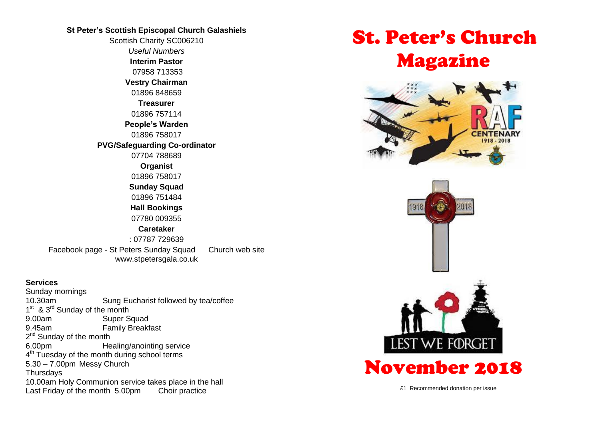#### **St Peter's Scottish Episcopal Church Galashiels**

Scottish Charity SC006210 *Useful Numbers*  **Interim Pastor** 07958 713353 **Vestry Chairman** 01896 848659 **Treasurer** 01896 757114 **People's Warden** 01896 758017 **PVG/Safeguarding Co-ordinator** 07704 788689 **Organist** 01896 758017 **Sunday Squad** 01896 751484 **Hall Bookings** 07780 009355 **Caretaker** : 07787 729639 Facebook page - St Peters Sunday Squad Church web site www.stpetersgala.co.uk

#### **Services**

Sunday mornings 10.30am Sung Eucharist followed by tea/coffee 1<sup>st</sup> & 3<sup>rd</sup> Sunday of the month 9.00am Super Squad 9.45am Family Breakfast 2<sup>nd</sup> Sunday of the month 6.00pm Healing/anointing service 4<sup>th</sup> Tuesday of the month during school terms 5.30 – 7.00pm Messy Church **Thursdays** 10.00am Holy Communion service takes place in the hall Last Friday of the month 5.00pm Choir practice

# St. Peter's Church Magazine





£1 Recommended donation per issue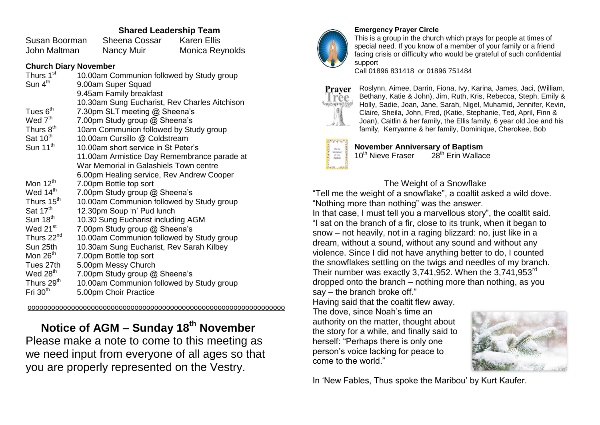### **Shared Leadership Team**

| Susan Boorman | <b>Sheena Cossar</b> | <b>Karen Ellis</b> |
|---------------|----------------------|--------------------|
| John Maltman  | Nancy Muir           | Monica Reynolds    |

#### **Church Diary November**

| Thurs 1 <sup>st</sup>  | 10.00am Communion followed by Study group     |
|------------------------|-----------------------------------------------|
| Sun 4 <sup>th</sup>    | 9.00am Super Squad                            |
|                        | 9.45am Family breakfast                       |
|                        | 10.30am Sung Eucharist, Rev Charles Aitchison |
| Tues 6 <sup>th</sup>   | 7.30pm SLT meeting @ Sheena's                 |
| Wed 7 <sup>th</sup>    | 7.00pm Study group @ Sheena's                 |
| Thurs 8 <sup>th</sup>  | 10am Communion followed by Study group        |
| Sat 10 <sup>th</sup>   | 10.00am Cursillo @ Coldstream                 |
| Sun 11 <sup>th</sup>   | 10.00am short service in St Peter's           |
|                        | 11.00am Armistice Day Remembrance parade at   |
|                        | War Memorial in Galashiels Town centre        |
|                        | 6.00pm Healing service, Rev Andrew Cooper     |
| Mon $12^{th}$          | 7.00pm Bottle top sort                        |
| Wed 14 <sup>th</sup>   | 7.00pm Study group @ Sheena's                 |
| Thurs 15 <sup>th</sup> | 10.00am Communion followed by Study group     |
| Sat 17 <sup>th</sup>   | 12.30pm Soup 'n' Pud lunch                    |
| Sun $18th$             | 10.30 Sung Eucharist including AGM            |
| Wed 21 <sup>st</sup>   | 7.00pm Study group @ Sheena's                 |
| Thurs 22 <sup>nd</sup> | 10.00am Communion followed by Study group     |
| Sun 25th               | 10.30am Sung Eucharist, Rev Sarah Kilbey      |
| Mon $26th$             | 7.00pm Bottle top sort                        |
| Tues 27th              | 5.00pm Messy Church                           |
| Wed 28 <sup>th</sup>   | 7.00pm Study group @ Sheena's                 |
| Thurs 29 <sup>th</sup> | 10.00am Communion followed by Study group     |
| Fri 30 <sup>th</sup>   | 5.00pm Choir Practice                         |

ooooooooooooooooooooooooooooooooooooooooooooooooooooooooooooooooo

# **Notice of AGM – Sunday 18th November**

Please make a note to come to this meeting as we need input from everyone of all ages so that you are properly represented on the Vestry.



#### **Emergency Prayer Circle**

This is a group in the church which prays for people at times of special need. If you know of a member of your family or a friend facing crisis or difficulty who would be grateful of such confidential support

Call 01896 831418 or 01896 751484



Roslynn, Aimee, Darrin, Fiona, Ivy, Karina, James, Jaci, (William, Bethany, Katie & John), Jim, Ruth, Kris, Rebecca, Steph, Emily & Holly, Sadie, Joan, Jane, Sarah, Nigel, Muhamid, Jennifer, Kevin, Claire, Sheila, John, Fred, (Katie, Stephanie, Ted, April, Finn & Joan), Caitlin & her family, the Ellis family, 6 year old Joe and his family, Kerryanne & her family, Dominique, Cherokee, Bob



**November Anniversary of Baptism**  $10^{th}$  Nieve Fraser  $28^{th}$  Frin Wallace

#### The Weight of a Snowflake

"Tell me the weight of a snowflake", a coaltit asked a wild dove. "Nothing more than nothing" was the answer.

In that case, I must tell you a marvellous story", the coaltit said. "I sat on the branch of a fir, close to its trunk, when it began to snow – not heavily, not in a raging blizzard: no, just like in a dream, without a sound, without any sound and without any violence. Since I did not have anything better to do, I counted the snowflakes settling on the twigs and needles of my branch. Their number was exactly 3,741,952. When the 3,741,953<sup>rd</sup> dropped onto the branch – nothing more than nothing, as you say – the branch broke off."

Having said that the coaltit flew away. The dove, since Noah's time an authority on the matter, thought about the story for a while, and finally said to herself: "Perhaps there is only one person's voice lacking for peace to come to the world."



In 'New Fables, Thus spoke the Maribou' by Kurt Kaufer.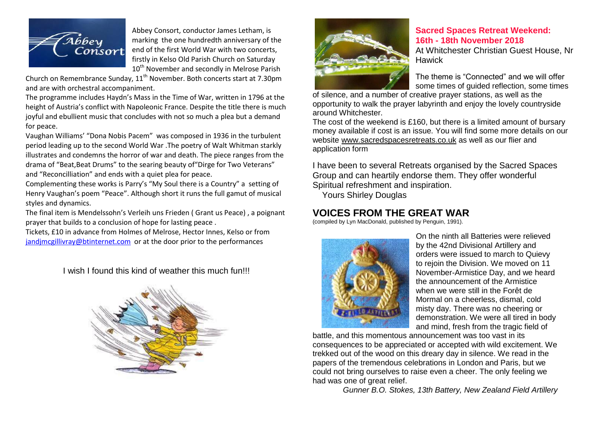

Abbey Consort, conductor James Letham, is marking the one hundredth anniversary of the end of the first World War with two concerts, firstly in Kelso Old Parish Church on Saturday 10<sup>th</sup> November and secondly in Melrose Parish

Church on Remembrance Sunday, 11<sup>th</sup> November, Both concerts start at 7.30pm and are with orchestral accompaniment.

The programme includes Haydn's Mass in the Time of War, written in 1796 at the height of Austria's conflict with Napoleonic France. Despite the title there is much joyful and ebullient music that concludes with not so much a plea but a demand for peace.

Vaughan Williams' "Dona Nobis Pacem" was composed in 1936 in the turbulent period leading up to the second World War .The poetry of Walt Whitman starkly illustrates and condemns the horror of war and death. The piece ranges from the drama of "Beat,Beat Drums" to the searing beauty of"Dirge for Two Veterans" and "Reconcilliation" and ends with a quiet plea for peace.

Complementing these works is Parry's "My Soul there is a Country" a setting of Henry Vaughan's poem "Peace". Although short it runs the full gamut of musical styles and dynamics.

The final item is Mendelssohn's Verleih uns Frieden ( Grant us Peace) , a poignant prayer that builds to a conclusion of hope for lasting peace .

Tickets, £10 in advance from Holmes of Melrose, Hector Innes, Kelso or from [jandjmcgillivray@btinternet.com](mailto:jandjmcgillivray@btinternet.com) or at the door prior to the performances

I wish I found this kind of weather this much fun!!!





#### **Sacred Spaces Retreat Weekend: 16th - 18th November 2018**

At Whitchester Christian Guest House, Nr **Hawick** 

The theme is "Connected" and we will offer some times of guided reflection, some times

of silence, and a number of creative prayer stations, as well as the opportunity to walk the prayer labyrinth and enjoy the lovely countryside around Whitchester.

The cost of the weekend is £160, but there is a limited amount of bursary money available if cost is an issue. You will find some more details on our website [www.sacredspacesretreats.co.uk](http://www.sacredspacesretreats.co.uk/) as well as our flier and application form

I have been to several Retreats organised by the Sacred Spaces Group and can heartily endorse them. They offer wonderful Spiritual refreshment and inspiration.

Yours Shirley Douglas

# **VOICES FROM THE GREAT WAR**

(compiled by Lyn MacDonald, published by Penguin, 1991).



On the ninth all Batteries were relieved by the 42nd Divisional Artillery and orders were issued to march to Quievy to rejoin the Division. We moved on 11 November-Armistice Day, and we heard the announcement of the Armistice when we were still in the Forêt de Mormal on a cheerless, dismal, cold misty day. There was no cheering or demonstration. We were all tired in body and mind, fresh from the tragic field of

battle, and this momentous announcement was too vast in its consequences to be appreciated or accepted with wild excitement. We trekked out of the wood on this dreary day in silence. We read in the papers of the tremendous celebrations in London and Paris, but we could not bring ourselves to raise even a cheer. The only feeling we had was one of great relief.

*Gunner B.O. Stokes, 13th Battery, New Zealand Field Artillery*